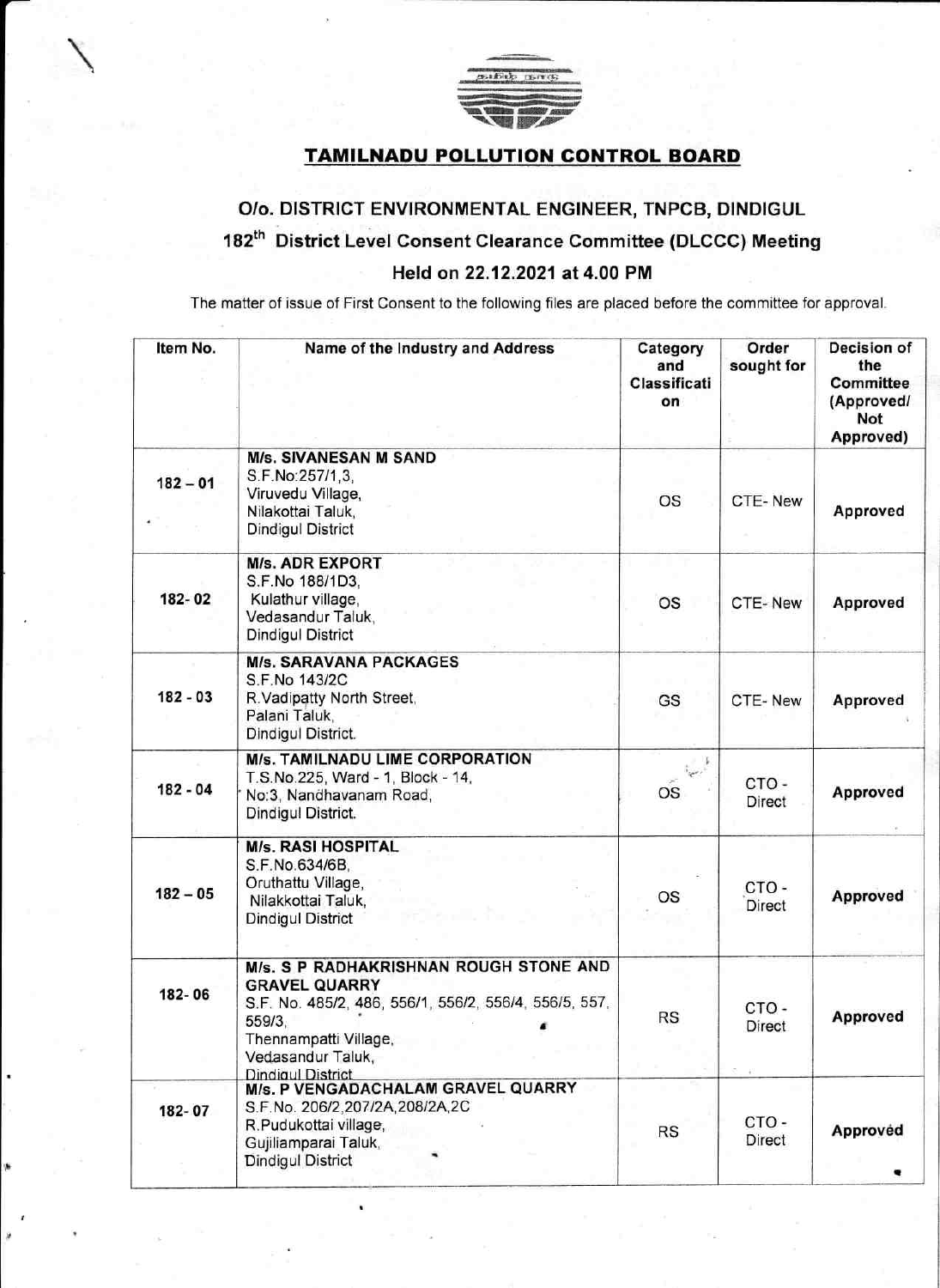

## TAMILNADU POLLUTION CONTROL BOARD

## O/o. DISTRICT ENVIRONMENTAL ENGINEER, TNPCB, DINDIGUL 182<sup>th</sup> District Level Consent Clearance Committee (DLCCC) Meeting Held on 22.12,2021 at 4.00 PM

The matter of issue of First Consent to the following files are placed before the committee for approval.

| Item No.   | Name of the Industry and Address                                                                                                                                                                            | Category<br>and<br>Classificati<br>on | Order<br>sought for   | Decision of<br>the<br>Committee<br>(Approved/<br>Not<br>Approved) |
|------------|-------------------------------------------------------------------------------------------------------------------------------------------------------------------------------------------------------------|---------------------------------------|-----------------------|-------------------------------------------------------------------|
| $182 - 01$ | <b>M/s. SIVANESAN M SAND</b><br>S.F.No:257/1,3,<br>Viruvedu Village,<br>Nilakottai Taluk,<br><b>Dindigul District</b>                                                                                       | <b>OS</b>                             | CTE-New               | Approved                                                          |
| 182-02     | <b>M/s. ADR EXPORT</b><br>S.F.No 188/1D3,<br>Kulathur village,<br>Vedasandur Taluk,<br><b>Dindigul District</b>                                                                                             | <b>OS</b>                             | CTE-New               | Approved                                                          |
| $182 - 03$ | <b>M/s. SARAVANA PACKAGES</b><br>S.F.No 143/2C<br>R.Vadipatty North Street,<br>Palani Taluk,<br>Dindigul District.                                                                                          | GS                                    | CTE-New               | Approved                                                          |
| $182 - 04$ | <b>M/s. TAMILNADU LIME CORPORATION</b><br>T.S.No.225, Ward - 1, Block - 14,<br>No:3, Nandhavanam Road,<br>Dindigul District.                                                                                | المحمدية<br><b>OS</b>                 | CTO-<br>Direct        | Approved                                                          |
| $182 - 05$ | <b>M/s. RASI HOSPITAL</b><br>S.F.No.634/6B,<br>Oruthattu Village,<br>Nilakkottai Taluk,<br><b>Dindigul District</b>                                                                                         | OS                                    | CTO-<br><b>Direct</b> | Approved                                                          |
| 182-06     | M/s. S P RADHAKRISHNAN ROUGH STONE AND<br><b>GRAVEL QUARRY</b><br>S.F. No. 485/2, 486, 556/1, 556/2, 556/4, 556/5, 557,<br>559/3,<br>Thennampatti Village,<br>Vedasandur Taluk,<br><b>Dindigul District</b> | <b>RS</b>                             | CTO-<br>Direct        | Approved                                                          |
| 182-07     | M/s. P VENGADACHALAM GRAVEL QUARRY<br>S.F.No. 206/2,207/2A,208/2A,2C<br>R.Pudukottai village,<br>Gujiliamparai Taluk,<br><b>Dindigul District</b>                                                           | <b>RS</b>                             | CTO-<br>Direct        | Approved                                                          |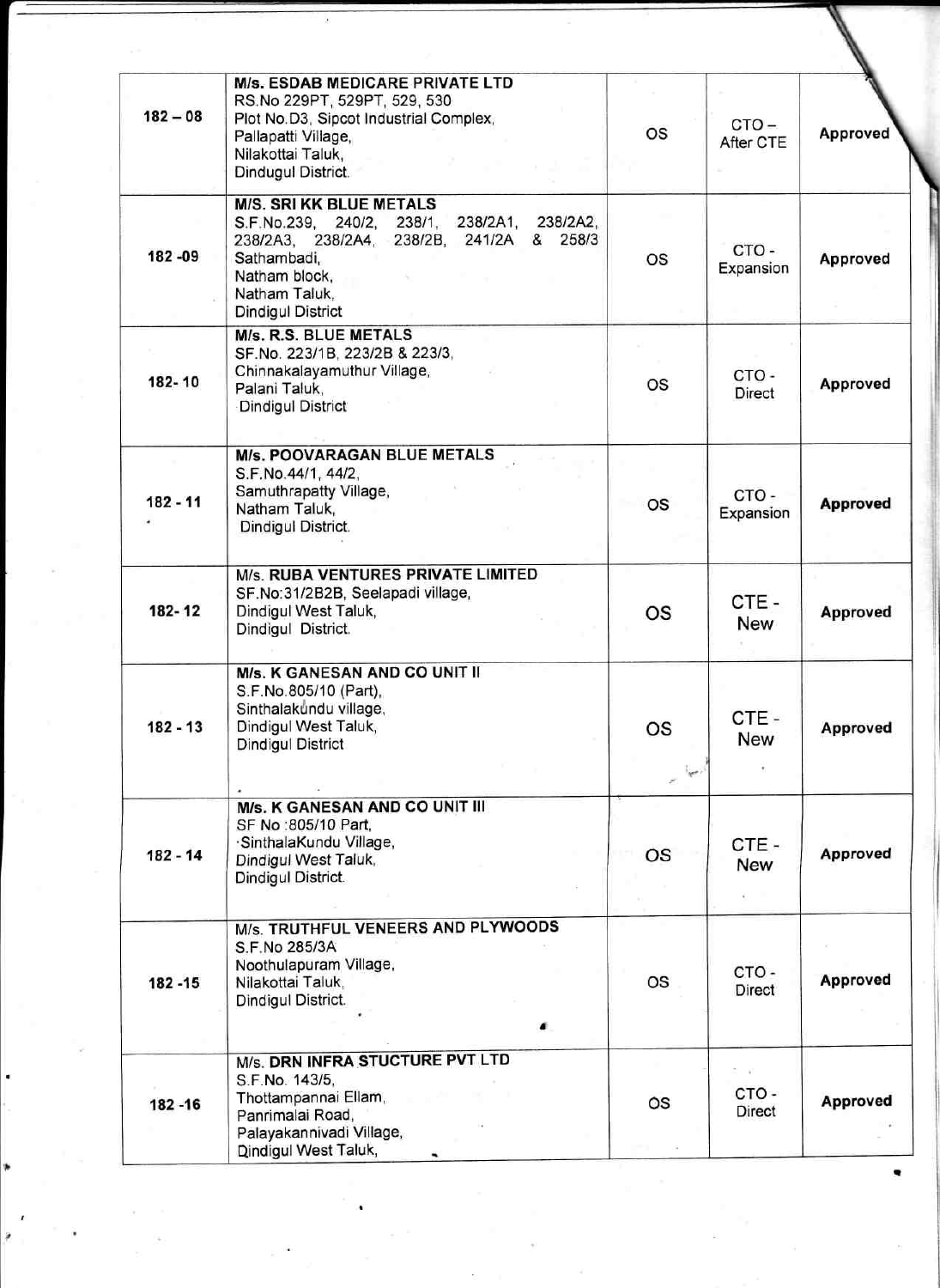| $182 - 08$ | <b>M/s. ESDAB MEDICARE PRIVATE LTD</b><br>RS.No 229PT, 529PT, 529, 530<br>Plot No.D3, Sipcot Industrial Complex,<br>Pallapatti Village,<br>Nilakottai Taluk,<br>Dindugul District.                        | <b>OS</b>                                           | $CTO -$<br>After CTE | Approved        |
|------------|-----------------------------------------------------------------------------------------------------------------------------------------------------------------------------------------------------------|-----------------------------------------------------|----------------------|-----------------|
| 182 - 09   | <b>M/S. SRI KK BLUE METALS</b><br>S.F.No.239, 240/2, 238/1, 238/2A1, 238/2A2,<br>258/3<br>238/2A3, 238/2A4, 238/2B, 241/2A &<br>Sathambadi.<br>Natham block,<br>Natham Taluk,<br><b>Dindigul District</b> | <b>OS</b>                                           | CTO-<br>Expansion    | Approved        |
| 182-10     | <b>M/s. R.S. BLUE METALS</b><br>SF.No. 223/1B, 223/2B & 223/3,<br>Chinnakalayamuthur Village,<br>Palani Taluk,<br><b>Dindigul District</b>                                                                | os                                                  | CTO-<br>Direct       | Approved        |
| $182 - 11$ | <b>M/s. POOVARAGAN BLUE METALS</b><br>S.F.No.44/1, 44/2,<br>Samuthrapatty Village,<br>Natham Taluk,<br>Dindigul District.                                                                                 | <b>OS</b>                                           | CTO-<br>Expansion    | <b>Approved</b> |
| 182-12     | M/s. RUBA VENTURES PRIVATE LIMITED<br>SF.No:31/2B2B, Seelapadi village,<br>Dindigul West Taluk,<br>Dindigul District.                                                                                     | <b>OS</b>                                           | CTE-<br>New          | Approved        |
| $182 - 13$ | M/s. K GANESAN AND CO UNIT II<br>S.F.No.805/10 (Part),<br>Sinthalakundu village,<br>Dindigul West Taluk,<br><b>Dindigul District</b>                                                                      | OS<br>$e^{-\frac{1}{2}\mathbf{e}^{\mathbf{r}_{i}}}$ | CTE-<br><b>New</b>   | Approved        |
| $182 - 14$ | <b>M/s. K GANESAN AND CO UNIT III</b><br>SF No:805/10 Part,<br>·SinthalaKundu Village,<br>Dindigul West Taluk,<br>Dindigul District.                                                                      | OS                                                  | CTE-<br>New          | Approved        |
| 182 - 15   | M/s. TRUTHFUL VENEERS AND PLYWOODS<br>S.F.No 285/3A<br>Noothulapuram Village,<br>Nilakottai Taluk,<br>Dindigul District.                                                                                  | OS                                                  | CTO-<br>Direct       | Approved        |
| 182 - 16   | M/s. DRN INFRA STUCTURE PVT LTD<br>S.F.No. 143/5,<br>Thottampannai Ellam,<br>Panrimalai Road,<br>Palayakannivadi Village,<br>Dindigul West Taluk,                                                         | OS                                                  | CTO-<br>Direct       | Approved        |

 $\epsilon$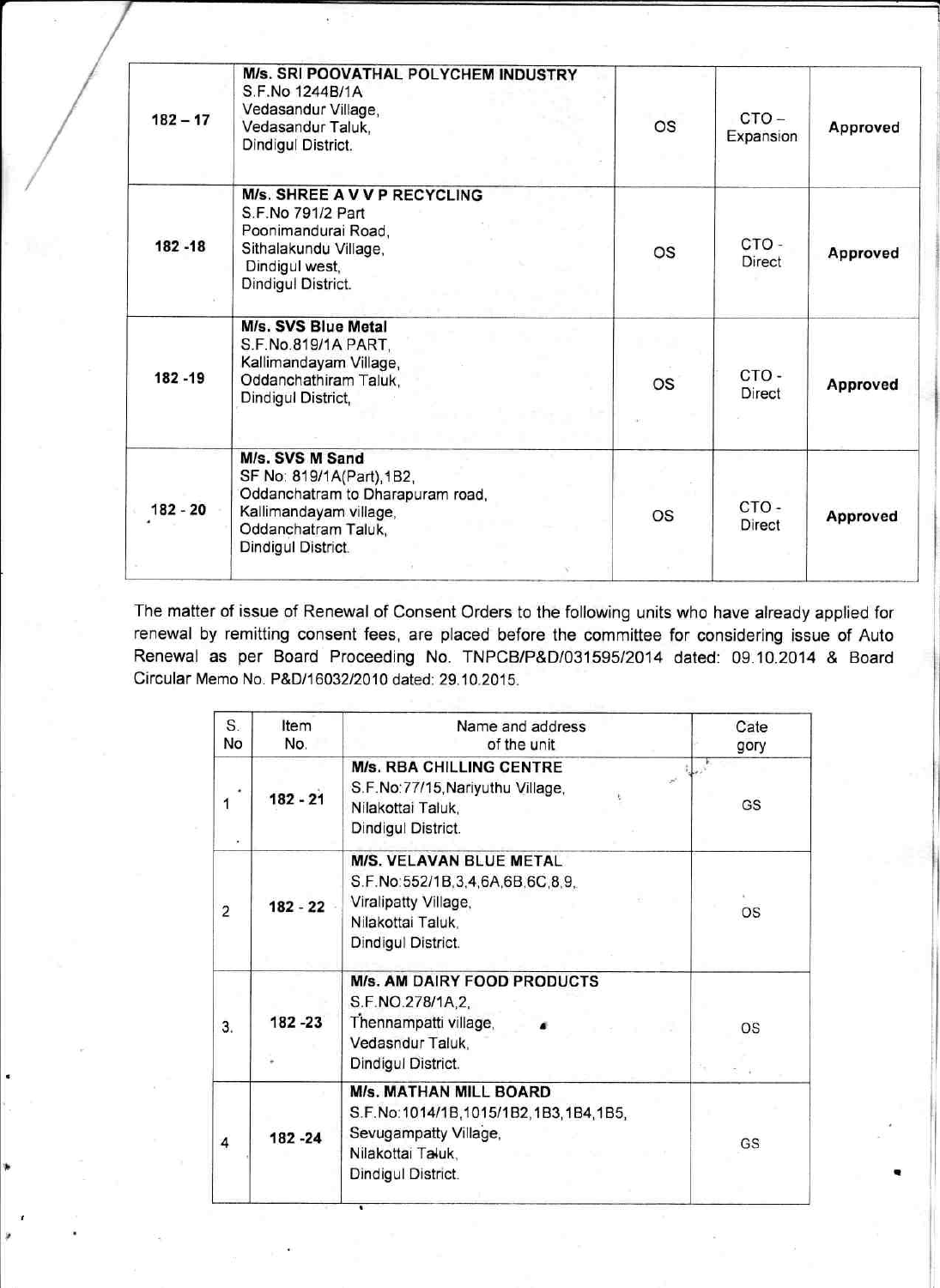| $182 - 17$ | M/s. SRI POOVATHAL POLYCHEM INDUSTRY<br>S.F.No 1244B/1A<br>Vedasandur Village,<br>Vedasandur Taluk,<br>Dindigul District.                               | <b>OS</b> | $CTO -$<br>Expansion | Approved |
|------------|---------------------------------------------------------------------------------------------------------------------------------------------------------|-----------|----------------------|----------|
| 182 - 18   | M/s. SHREE A V V P RECYCLING<br>S.F.No 791/2 Part<br>Poonimandurai Road,<br>Sithalakundu Village,<br>Dindigul west,<br>Dindigul District.               | <b>OS</b> | CTO-<br>Direct       | Approved |
| 182 - 19   | M/s. SVS Blue Metal<br>S.F.No.819/1A PART,<br>Kallimandayam Village,<br>Oddanchathiram Taluk,<br>Dindigul District,                                     | <b>OS</b> | CTO-<br>Direct       | Approved |
| 182 - 20   | M/s. SVS M Sand<br>SF No: 819/1A(Part), 1B2,<br>Oddanchatram to Dharapuram road,<br>Kallimandayam village,<br>Oddanchatram Taluk,<br>Dindigul District. | <b>OS</b> | CTO-<br>Direct       | Approved |

The matter of issue of Renewal of Consent Orders to the following units who have already applied for renewal by remitting consent fees, are placed before the committee for considering issue of Auto Renewal as per Board Proceeding No. TNPCB/P&D/03159512014 dated. 09.10.2014 & Board Circular Memo No. P&D/1603212010 dated: 29.10.2015.

| S.<br>No       | Item<br>No. | Name and address<br>of the unit                                                                                                           | Cate<br>gory |
|----------------|-------------|-------------------------------------------------------------------------------------------------------------------------------------------|--------------|
| 1              | $182 - 21$  | <b>M/s. RBA CHILLING CENTRE</b><br>S.F.No:77/15, Nariyuthu Village,<br>Nilakottai Taluk,<br>Dindigul District.                            | GS           |
| $\overline{2}$ | $182 - 22$  | M/S. VELAVAN BLUE METAL<br>S.F.No:552/1B,3,4,6A,6B,6C,8,9,<br>Viralipatty Village,<br>Nilakottai Taluk,<br>Dindigul District.             | OS           |
| 3.             | 182 - 23    | <b>M/s. AM DAIRY FOOD PRODUCTS</b><br>S.F.NO.278/1A,2,<br>Thennampatti village,<br>Vedasndur Taluk,<br>Dindigul District.                 | OS           |
| 4              | 182 - 24    | <b>M/s. MATHAN MILL BOARD</b><br>S.F.No:1014/1B,1015/1B2,1B3,1B4,1B5,<br>Sevugampatty Village,<br>Nilakottai Taluk,<br>Dindigul District. | GS           |

ii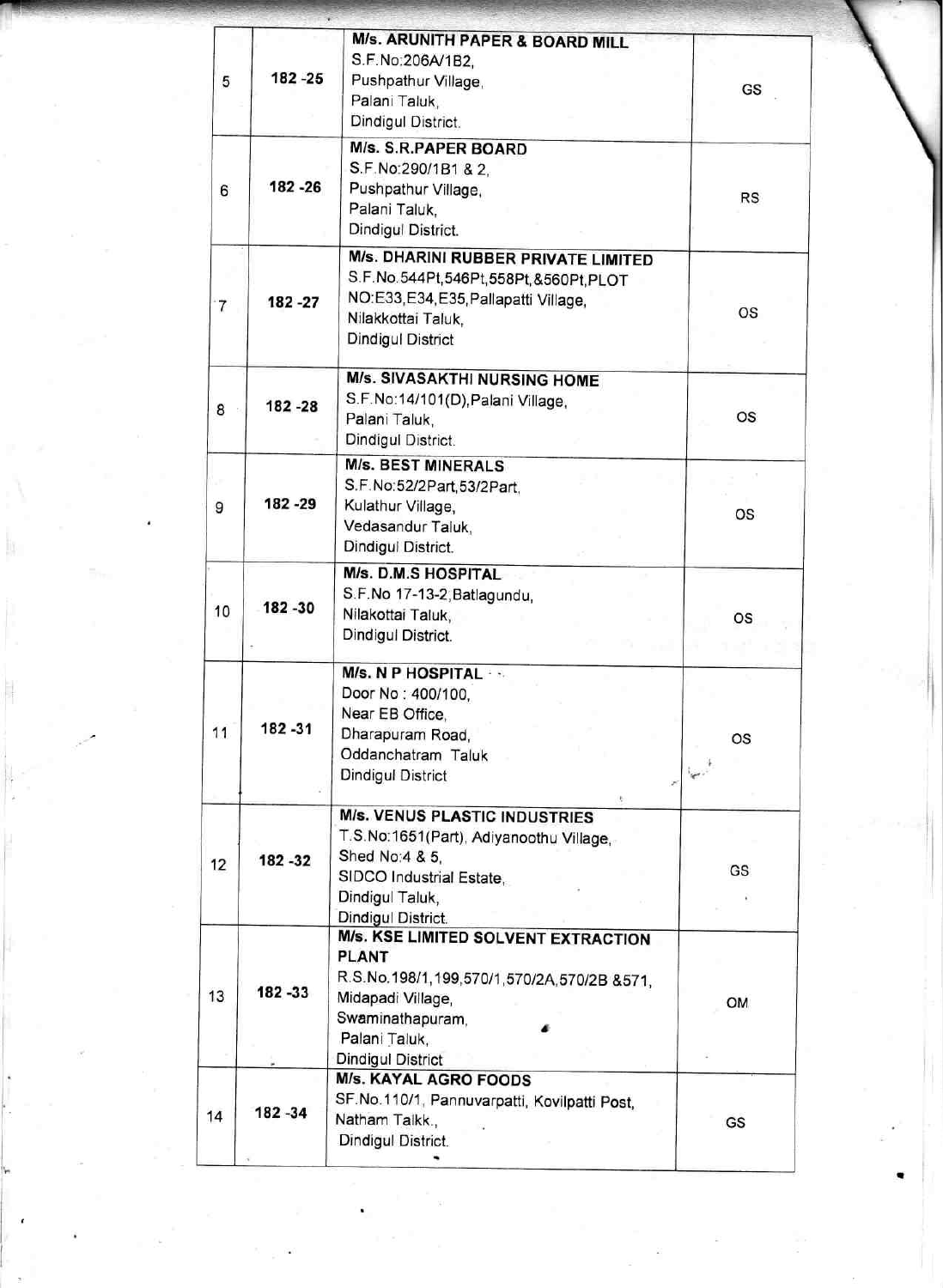| 5  | 182 - 25 | M/s. ARUNITH PAPER & BOARD MILL<br>S.F.No:206A/1B2,<br>Pushpathur Village,<br>Palani Taluk,<br>Dindigul District.                                                                | GS                                |
|----|----------|----------------------------------------------------------------------------------------------------------------------------------------------------------------------------------|-----------------------------------|
| 6  | 182 - 26 | <b>M/s. S.R.PAPER BOARD</b><br>S.F.No:290/1B1 & 2,<br>Pushpathur Village,<br>Palani Taluk.<br>Dindigul District.                                                                 | <b>RS</b>                         |
| 7  | 182 - 27 | M/s. DHARINI RUBBER PRIVATE LIMITED<br>S.F.No.544Pt,546Pt,558Pt,&560Pt,PLOT<br>NO:E33,E34,E35,Pallapatti Village,<br>Nilakkottai Taluk,<br><b>Dindigul District</b>              | OS                                |
| 8  | 182 - 28 | <b>M/s. SIVASAKTHI NURSING HOME</b><br>S.F.No:14/101(D), Palani Village,<br>Palani Taluk,<br>Dindigul District.                                                                  | <b>OS</b>                         |
| 9  | 182 - 29 | <b>M/s. BEST MINERALS</b><br>S.F.No:52/2Part,53/2Part,<br>Kulathur Village,<br>Vedasandur Taluk,<br>Dindigul District.                                                           | os                                |
| 10 | 182 - 30 | M/s. D.M.S HOSPITAL<br>S.F.No 17-13-2, Batlagundu,<br>Nilakottai Taluk,<br>Dindigul District.                                                                                    | os                                |
| 11 | 182 - 31 | M/s. N P HOSPITAL<br>Door No: 400/100,<br>Near EB Office,<br>Dharapuram Road,<br>Oddanchatram Taluk<br><b>Dindigul District</b>                                                  | OS<br>$\mathcal{F}^{\mathcal{C}}$ |
| 12 | 182 - 32 | <b>M/s. VENUS PLASTIC INDUSTRIES</b><br>T.S.No:1651(Part), Adiyanoothu Village,<br>Shed No: 4 & 5.<br>SIDCO Industrial Estate,<br>Dindigul Taluk,<br>Dindigul District.          | GS                                |
| 13 | 182 - 33 | M/s. KSE LIMITED SOLVENT EXTRACTION<br><b>PLANT</b><br>R.S.No.198/1,199,570/1,570/2A,570/2B &571,<br>Midapadi Village,<br>Swaminathapuram,<br>Palani Taluk,<br>Dindigul District | OM                                |
| 14 | 182 - 34 | M/s. KAYAL AGRO FOODS<br>SF.No.110/1, Pannuvarpatti, Kovilpatti Post,<br>Natham Talkk.,<br>Dindigul District.                                                                    | GS                                |

,